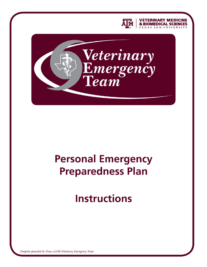

**TERINARY MEDICINE** 

**CAL SCIENCES UNIVERSITY** 



# **Personal Emergency Preparedness Plan**

# **Instructions**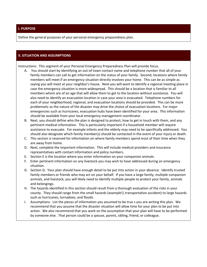## **I. PURPOSE**

Define the general purposes of your personal emergency preparedness plan.

## **II. SITUATION AND ASSUMPTIONS**

Instructions: This segment of your Personal Emergency Preparedness Plan will provide focus.

- A. You should start by identifying an out‐of‐town contact name and telephone number that all of your family members can call to get information on the status of your family. Second, locations where family members will meet if an emergency situation directly involves your home. This can be as simple as saying you will meet at your neighbor's house. Next you will want to identify a regional meeting place in case the emergency situation is more widespread. This should be a location that is familiar to all members whom are of an age that will allow them to get to the location without assistance. You will also need to identify an evacuation location in case your area is evacuated. Telephone numbers for each of your neighborhood, regional, and evacuation locations should be provided. This can be more problematic as the nature of the disaster may drive the choice of evacuation locations. For major emergencies such as hurricanes, evacuation hubs have been identified for your area. This information should be available from your local emergency management coordinator.
- B. Next, you should define who the plan is designed to protect, how to get in touch with them, and any pertinent medical information. This is particularly important if a household member will require assistance to evacuate. For example infants and the elderly may need to be specifically addressed. You should also designate which family member(s) should be contacted in the event of your injury or death.
- C. This section is reserved for information on where family members spend most of their time when they are away from home.
- D. Next, complete the important information. This will include medical providers and insurance representatives with contact information and policy numbers.
- E. Section E is the location where you enter information on your companion animals.
- F. Enter pertinent information on any livestock you may wish to have addressed during an emergency situation.
- G. Section G: Your plan should have enough detail to be put into action in your absence. Identify trusted family members or friends who may act on your behalf. If you have a large family, multiple companion animals, and livestock, you will likely need to identify multiple people to protect your family, animals and belongings.
- H. The hazards identified in this section should result from a thorough evaluation of the risks in your county. They should range from the small hazards (example\\ transportation accident) to large hazards such as hurricanes, tornadoes, and floods.
- I. Assumptions: List the pieces of information you assumed to be true s you are writing this plan. We recommend that you assume that the disaster situation will allow time for your plan to be put into action. We also recommend that you work on the assumption that your plan will have to be performed by someone else. That person could be a spouse, parent, sibling, friend, or colleague.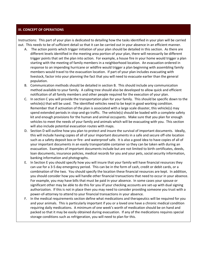#### **III. CONCEPT OF OPERATIONS**

Instructions: This part of your plan is dedicated to detailing how the tasks identified in your plan will be carried out. This needs to be of sufficient detail so that it can be carried out in your absence in an efficient manner.

- A. The action points which trigger initiation of your plan should be detailed in this section. As there are different levels identified in the meeting area portion of your plan, there will necessarily be different trigger points that set the plan into action. For example, a house fire in your home would trigger a plan starting with the meeting of family members in a neighborhood location. An evacuation ordered in response to an impending hurricane or wildfire would trigger a plan beginning with assembling family members would travel to the evacuation location. If part of your plan includes evacuating with livestock, factor into your planning the fact that you will need to evacuate earlier than the general population.
- B. Communication methods should be detailed in section B. This should include any communication method available to your family. A calling tree should also be developed to allow quick and efficient notification of all family members and other people required for the execution of your plan.
- C. In section C you will provide the transportation plan for your family. This should be specific down to the vehicle(s) that will be used. The identified vehicles need to be kept in good working condition. Remember that if activation of the plan is associated with a large scale disaster, this vehicle(s) may spend extended periods in stop‐and‐go traffic. The vehicle(s) should be loaded with a complete safety kit and enough provisions for the human and animal occupants. Make sure that you plan for enough vehicles to meet the needs of your family and animals which will be evacuating with you. This section will also include potential evacuation routes with maps.
- D. Section D will outline how you plan to protect and insure the survival of important documents. Ideally, this will include having copies of all of your important documents in a safe and secure off‐site location such as a safety deposit box or fire- and waterproof safe. It is also a good idea to have copies of all of your important documents in an easily transportable container so they can be taken with during an evacuation. Examples of important documents include but are not limited to birth certificates, deeds, loan documents, insurance policies, medical records for you and your pets, social security information, banking information and photographs.
- E. In Section E you should specify how you will insure that your family will have financial resources they can use for a 3‐5 day emergency period. This can be in the form of cash, credit or debit cards, or a combination of the two. You should specify the location these financial resources are kept. In addition, you should consider how you will handle other financial transactions that need to occur in your absence. For example, you may have bills that must be paid in your absence. In some cases your spouse or significant other may be able to do this for you iif your checking accounts are set‐up with dual signing authorization. If this is not in place then you may need to consider providing someone you trust with a power‐of‐attorney to attend to your financial transactions in your absence.
- F. In the medical requirements section define what medications and therapeutics will be required for you and your animals. This is particularly important if you or a loved one have a chronic medical condition requiring daily medications. A minimum of one week's worth of medication should be on hand and packed so that it may be easily obtained during evacuation. If any of the medications requires special storage conditions such as refrigeration, you will need to plan for this.